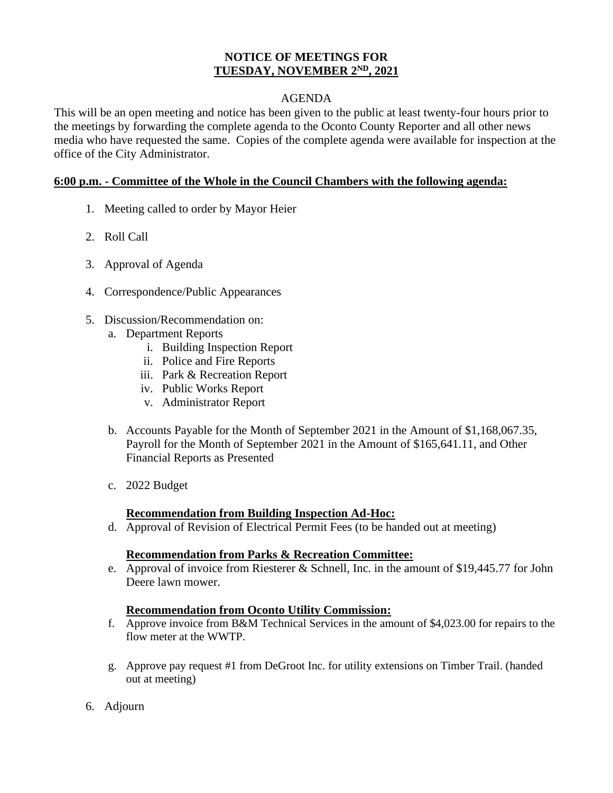#### **NOTICE OF MEETINGS FOR TUESDAY, NOVEMBER 2 ND, 2021**

## AGENDA

This will be an open meeting and notice has been given to the public at least twenty-four hours prior to the meetings by forwarding the complete agenda to the Oconto County Reporter and all other news media who have requested the same. Copies of the complete agenda were available for inspection at the office of the City Administrator.

#### **6:00 p.m. - Committee of the Whole in the Council Chambers with the following agenda:**

- 1. Meeting called to order by Mayor Heier
- 2. Roll Call
- 3. Approval of Agenda
- 4. Correspondence/Public Appearances
- 5. Discussion/Recommendation on:
	- a. Department Reports
		- i. Building Inspection Report
		- ii. Police and Fire Reports
		- iii. Park & Recreation Report
		- iv. Public Works Report
		- v. Administrator Report
	- b. Accounts Payable for the Month of September 2021 in the Amount of \$1,168,067.35, Payroll for the Month of September 2021 in the Amount of \$165,641.11, and Other Financial Reports as Presented
	- c. 2022 Budget

## **Recommendation from Building Inspection Ad-Hoc:**

d. Approval of Revision of Electrical Permit Fees (to be handed out at meeting)

## **Recommendation from Parks & Recreation Committee:**

e. Approval of invoice from Riesterer & Schnell, Inc. in the amount of \$19,445.77 for John Deere lawn mower.

## **Recommendation from Oconto Utility Commission:**

- f. Approve invoice from B&M Technical Services in the amount of \$4,023.00 for repairs to the flow meter at the WWTP.
- g. Approve pay request #1 from DeGroot Inc. for utility extensions on Timber Trail. (handed out at meeting)
- 6. Adjourn